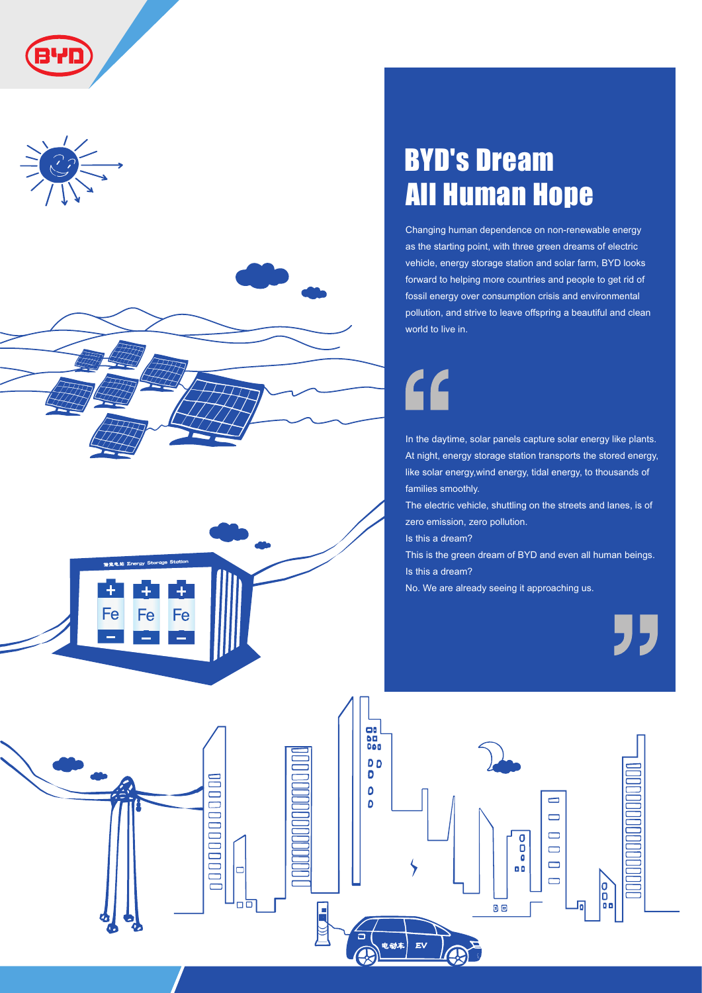

## All Human Hope BYD's Dream

Changing human dependence on non-renewable energy as the starting point, with three green dreams of electric vehicle, energy storage station and solar farm, BYD looks forward to helping more countries and people to get rid of fossil energy over consumption crisis and environmental pollution, and strive to leave offspring a beautiful and clean world to live in.

# $\epsilon$

In the daytime, solar panels capture solar energy like plants. At night, energy storage station transports the stored energy, like solar energy,wind energy, tidal energy, to thousands of families smoothly.

The electric vehicle, shuttling on the streets and lanes, is of zero emission, zero pollution.

Is this a dream?

This is the green dream of BYD and even all human beings. Is this a dream?

No. We are already seeing it approaching us.

"

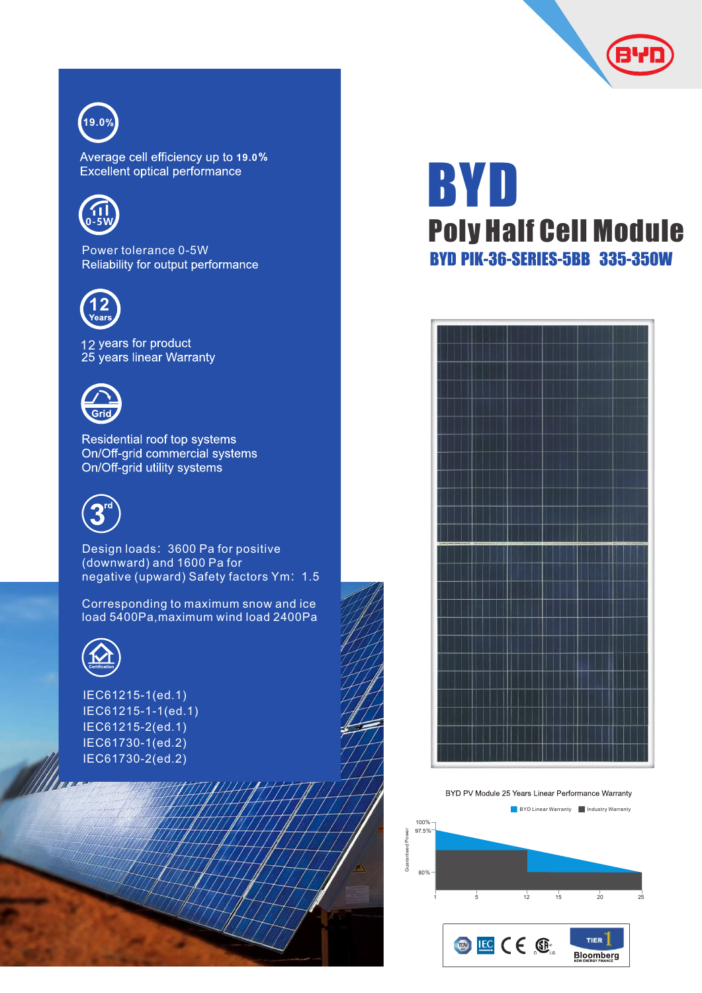



Average cell efficiency up to 19.0% Excellent optical performance



Power tolerance 0-5W<br>Reliability for output performance



12 years for product<br>25 years linear Warranty



Residential roof top systems On/Off-grid commercial systems On/Off-grid utility systems



Design loads: 3600 Pa for positive (downward) and 1600 Pa for negative (upward) Safety factors Ym: 1.5

Corresponding to maximum snow and ice load 5400Pa,maximum wind load 2400Pa



IEC61215-1(ed.1) IEC61215-1-1(ed.1) IEC61215-2(ed.1) IEC61730-1(ed.2) IEC61730-2(ed.2)







**Bloomberg**